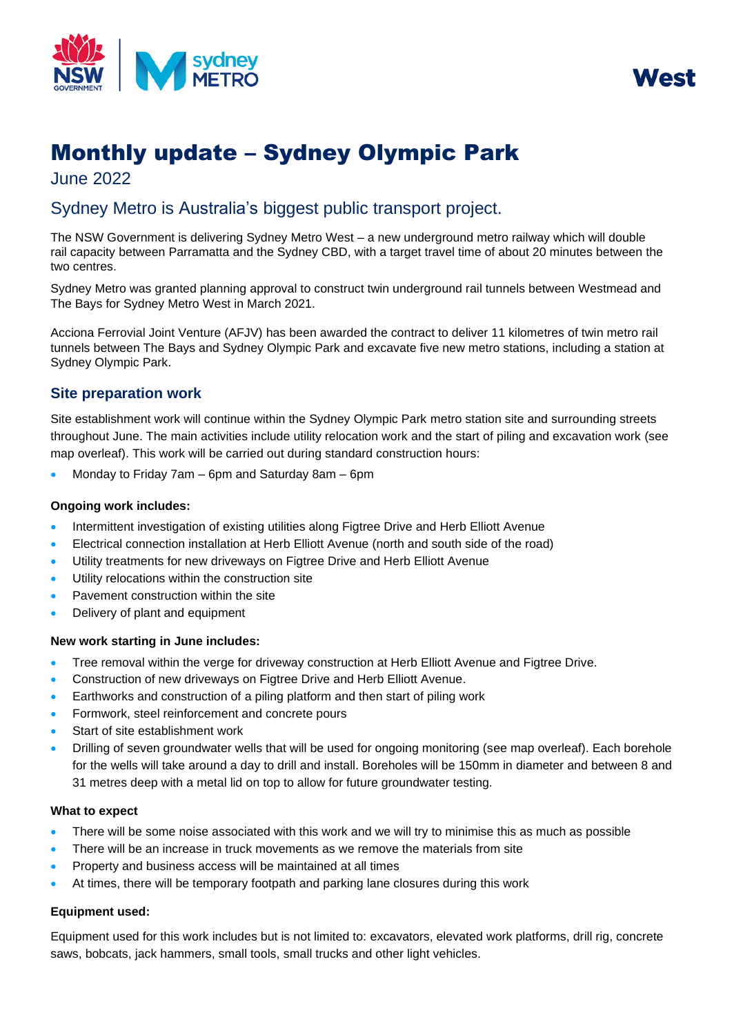



# Monthly update – Sydney Olympic Park

June 2022

# Sydney Metro is Australia's biggest public transport project.

The NSW Government is delivering Sydney Metro West – a new underground metro railway which will double rail capacity between Parramatta and the Sydney CBD, with a target travel time of about 20 minutes between the two centres.

Sydney Metro was granted planning approval to construct twin underground rail tunnels between Westmead and The Bays for Sydney Metro West in March 2021.

Acciona Ferrovial Joint Venture (AFJV) has been awarded the contract to deliver 11 kilometres of twin metro rail tunnels between The Bays and Sydney Olympic Park and excavate five new metro stations, including a station at Sydney Olympic Park.

# **Site preparation work**

Site establishment work will continue within the Sydney Olympic Park metro station site and surrounding streets throughout June. The main activities include utility relocation work and the start of piling and excavation work (see map overleaf). This work will be carried out during standard construction hours:

• Monday to Friday 7am – 6pm and Saturday 8am – 6pm

# **Ongoing work includes:**

- Intermittent investigation of existing utilities along Figtree Drive and Herb Elliott Avenue
- Electrical connection installation at Herb Elliott Avenue (north and south side of the road)
- Utility treatments for new driveways on Figtree Drive and Herb Elliott Avenue
- Utility relocations within the construction site
- Pavement construction within the site
- Delivery of plant and equipment

# **New work starting in June includes:**

- Tree removal within the verge for driveway construction at Herb Elliott Avenue and Figtree Drive.
- Construction of new driveways on Figtree Drive and Herb Elliott Avenue.
- Earthworks and construction of a piling platform and then start of piling work
- Formwork, steel reinforcement and concrete pours
- Start of site establishment work
- Drilling of seven groundwater wells that will be used for ongoing monitoring (see map overleaf). Each borehole for the wells will take around a day to drill and install. Boreholes will be 150mm in diameter and between 8 and 31 metres deep with a metal lid on top to allow for future groundwater testing.

#### **What to expect**

- There will be some noise associated with this work and we will try to minimise this as much as possible
- There will be an increase in truck movements as we remove the materials from site
- Property and business access will be maintained at all times
- At times, there will be temporary footpath and parking lane closures during this work

# **Equipment used:**

Equipment used for this work includes but is not limited to: excavators, elevated work platforms, drill rig, concrete saws, bobcats, jack hammers, small tools, small trucks and other light vehicles.